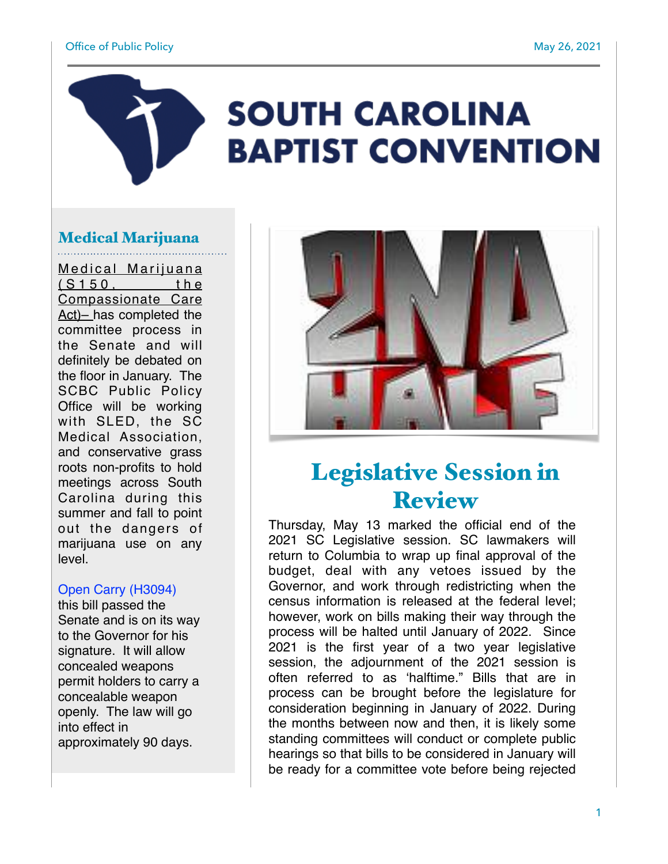#### Office of Public Policy and The Contract of Public Policy May 26, 2021

# **SOUTH CAROLINA BAPTIST CONVENTION**

## Medical Marijuana

Medical Marijuana  $(S150, the$ Compassionate Care Act)– has completed the committee process in the Senate and will definitely be debated on the floor in January. The SCBC Public Policy Office will be working with SLED, the SC Medical Association, and conservative grass roots non-profits to hold meetings across South Carolina during this summer and fall to point out the dangers of marijuana use on any level.

### Open Carry (H3094)

this bill passed the Senate and is on its way to the Governor for his signature. It will allow concealed weapons permit holders to carry a concealable weapon openly. The law will go into effect in approximately 90 days.



## Legislative Session in Review

Thursday, May 13 marked the official end of the 2021 SC Legislative session. SC lawmakers will return to Columbia to wrap up final approval of the budget, deal with any vetoes issued by the Governor, and work through redistricting when the census information is released at the federal level; however, work on bills making their way through the process will be halted until January of 2022. Since 2021 is the first year of a two year legislative session, the adjournment of the 2021 session is often referred to as 'halftime." Bills that are in process can be brought before the legislature for consideration beginning in January of 2022. During the months between now and then, it is likely some standing committees will conduct or complete public hearings so that bills to be considered in January will be ready for a committee vote before being rejected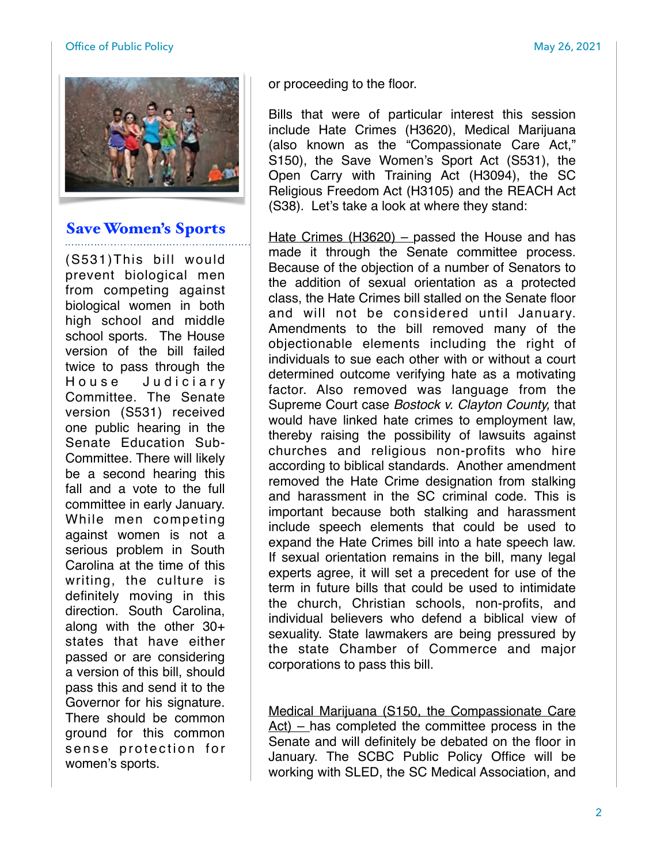#### Office of Public Policy and The Contract of Public Policy May 26, 2021



## Save Women's Sports

(S531)This bill would prevent biological men from competing against biological women in both high school and middle school sports. The House version of the bill failed twice to pass through the House Judiciary Committee. The Senate version (S531) received one public hearing in the Senate Education Sub-Committee. There will likely be a second hearing this fall and a vote to the full committee in early January. While men competing against women is not a serious problem in South Carolina at the time of this writing, the culture is definitely moving in this direction. South Carolina, along with the other 30+ states that have either passed or are considering a version of this bill, should pass this and send it to the Governor for his signature. There should be common ground for this common sense protection for women's sports.

or proceeding to the floor.

Bills that were of particular interest this session include Hate Crimes (H3620), Medical Marijuana (also known as the "Compassionate Care Act," S150), the Save Women's Sport Act (S531), the Open Carry with Training Act (H3094), the SC Religious Freedom Act (H3105) and the REACH Act (S38). Let's take a look at where they stand:

Hate Crimes (H3620) – passed the House and has made it through the Senate committee process. Because of the objection of a number of Senators to the addition of sexual orientation as a protected class, the Hate Crimes bill stalled on the Senate floor and will not be considered until January. Amendments to the bill removed many of the objectionable elements including the right of individuals to sue each other with or without a court determined outcome verifying hate as a motivating factor. Also removed was language from the Supreme Court case *Bostock v. Clayton County,* that would have linked hate crimes to employment law, thereby raising the possibility of lawsuits against churches and religious non-profits who hire according to biblical standards. Another amendment removed the Hate Crime designation from stalking and harassment in the SC criminal code. This is important because both stalking and harassment include speech elements that could be used to expand the Hate Crimes bill into a hate speech law. If sexual orientation remains in the bill, many legal experts agree, it will set a precedent for use of the term in future bills that could be used to intimidate the church, Christian schools, non-profits, and individual believers who defend a biblical view of sexuality. State lawmakers are being pressured by the state Chamber of Commerce and major corporations to pass this bill.

Medical Marijuana (S150, the Compassionate Care Act) – has completed the committee process in the Senate and will definitely be debated on the floor in January. The SCBC Public Policy Office will be working with SLED, the SC Medical Association, and